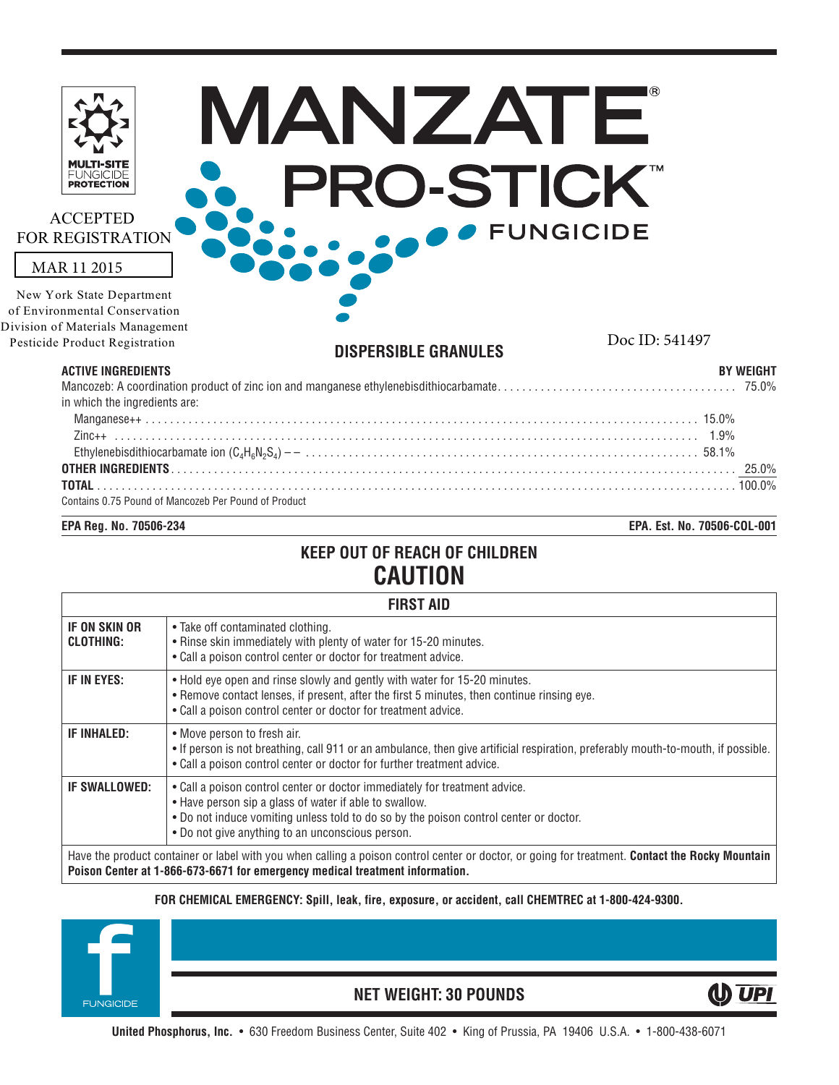| MANZATI                                                           | ⊢                           |
|-------------------------------------------------------------------|-----------------------------|
|                                                                   |                             |
| <b>PRO-STICK®</b><br><b>FUNGICIDE</b><br><b>PROTECTION</b>        |                             |
| <b>ACCEPTED</b><br><b>FOR REGISTRATION</b>                        | FUNGICIDE                   |
| MAR 11 2015                                                       |                             |
| New York State Department                                         |                             |
| of Environmental Conservation<br>Division of Materials Management |                             |
| Pesticide Product Registration<br><b>DISPERSIBLE GRANULES</b>     | Doc ID: 541497              |
| <b>ACTIVE INGREDIENTS</b>                                         | <b>BY WEIGHT</b>            |
| in which the ingredients are:                                     | 75.0%                       |
|                                                                   |                             |
|                                                                   |                             |
|                                                                   |                             |
|                                                                   | 25.0%                       |
| Contains 0.75 Pound of Mancozeb Per Pound of Product              |                             |
| EPA Reg. No. 70506-234                                            | EPA. Est. No. 70506-COL-001 |

# **KEEP OUT OF REACH OF CHILDREN CAUTION**

|                                   | <b>FIRST AID</b>                                                                                                                                                                                                                                                                  |
|-----------------------------------|-----------------------------------------------------------------------------------------------------------------------------------------------------------------------------------------------------------------------------------------------------------------------------------|
| IF ON SKIN OR<br><b>CLOTHING:</b> | • Take off contaminated clothing.<br>. Rinse skin immediately with plenty of water for 15-20 minutes.<br>• Call a poison control center or doctor for treatment advice.                                                                                                           |
| IF IN EYES:                       | . Hold eye open and rinse slowly and gently with water for 15-20 minutes.<br>• Remove contact lenses, if present, after the first 5 minutes, then continue rinsing eye.<br>• Call a poison control center or doctor for treatment advice.                                         |
| IF INHALED:                       | • Move person to fresh air.<br>• If person is not breathing, call 911 or an ambulance, then give artificial respiration, preferably mouth-to-mouth, if possible.<br>• Call a poison control center or doctor for further treatment advice.                                        |
| IF SWALLOWED:                     | • Call a poison control center or doctor immediately for treatment advice.<br>• Have person sip a glass of water if able to swallow.<br>. Do not induce vomiting unless told to do so by the poison control center or doctor.<br>• Do not give anything to an unconscious person. |
|                                   | Have the product container or label with you when calling a poison control center or doctor, or going for treatment. Contact the Rocky Mountain                                                                                                                                   |

**Poison Center at 1-866-673-6671 for emergency medical treatment information.**

### **FOR CHEMICAL EMERGENCY: Spill, leak, fire, exposure, or accident, call CHEMTREC at 1-800-424-9300.**



**NET WEIGHT: 30 POUNDS**

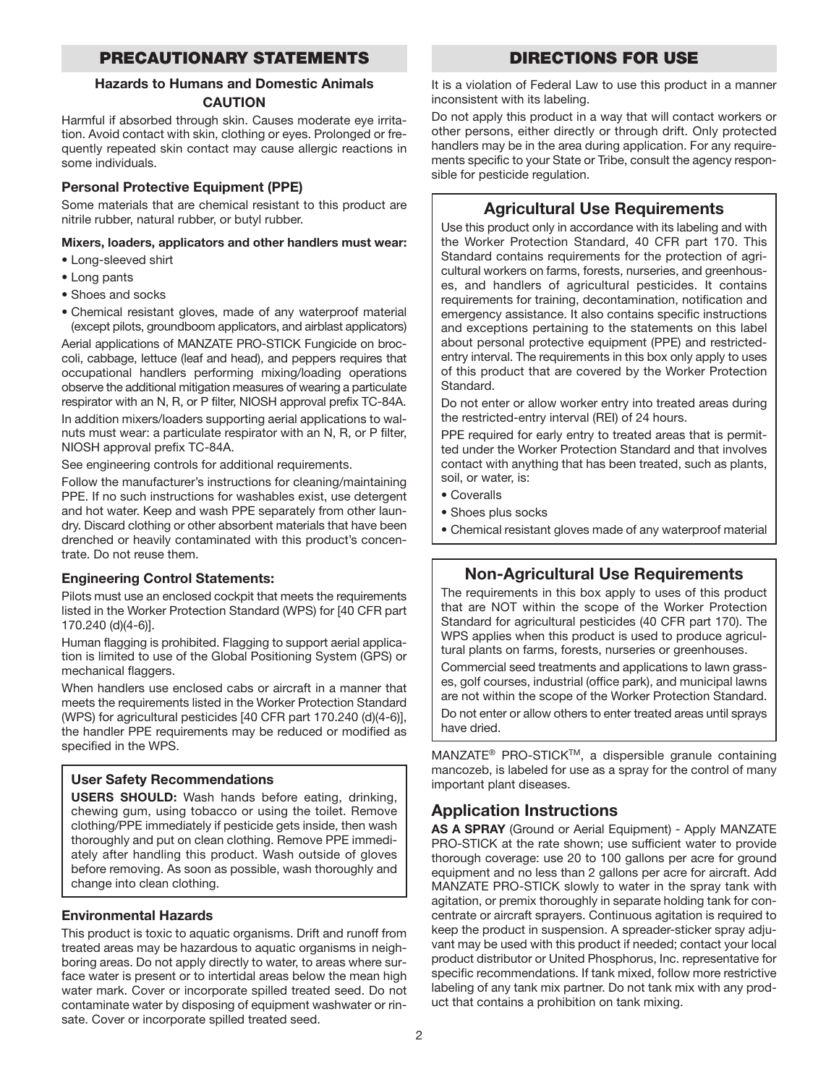### **PRECAUTIONARY STATEMENTS**

### **Hazards to Humans and Domestic Animals CAUTION**

Harmful if absorbed through skin. Causes moderate eye irritation. Avoid contact with skin, clothing or eyes. Prolonged or frequently repeated skin contact may cause allergic reactions in some individuals.

### **Personal Protective Equipment (PPE)**

Some materials that are chemical resistant to this product are nitrile rubber, natural rubber, or butyl rubber.

#### **Mixers, loaders, applicators and other handlers must wear:**

- Long-sleeved shirt
- Long pants
- Shoes and socks
- Chemical resistant gloves, made of any waterproof material (except pilots, groundboom applicators, and airblast applicators)

Aerial applications of MANZATE PRO-STICK Fungicide on broccoli, cabbage, lettuce (leaf and head), and peppers requires that occupational handlers performing mixing/loading operations observe the additional mitigation measures of wearing a particulate respirator with an N, R, or P filter, NIOSH approval prefix TC-84A.

In addition mixers/loaders supporting aerial applications to walnuts must wear: a particulate respirator with an N, R, or P filter, NIOSH approval prefix TC-84A.

See engineering controls for additional requirements.

Follow the manufacturer's instructions for cleaning/maintaining PPE. If no such instructions for washables exist, use detergent and hot water. Keep and wash PPE separately from other laundry. Discard clothing or other absorbent materials that have been drenched or heavily contaminated with this product's concentrate. Do not reuse them.

#### **Engineering Control Statements:**

Pilots must use an enclosed cockpit that meets the requirements listed in the Worker Protection Standard (WPS) for [40 CFR part 170.240 (d)(4-6)].

Human flagging is prohibited. Flagging to support aerial application is limited to use of the Global Positioning System (GPS) or mechanical flaggers.

When handlers use enclosed cabs or aircraft in a manner that meets the requirements listed in the Worker Protection Standard (WPS) for agricultural pesticides [40 CFR part 170.240 (d)(4-6)], the handler PPE requirements may be reduced or modified as specified in the WPS.

### **User Safety Recommendations**

**USERS SHOULD:** Wash hands before eating, drinking, chewing gum, using tobacco or using the toilet. Remove clothing/PPE immediately if pesticide gets inside, then wash thoroughly and put on clean clothing. Remove PPE immediately after handling this product. Wash outside of gloves before removing. As soon as possible, wash thoroughly and change into clean clothing.

#### **Environmental Hazards**

This product is toxic to aquatic organisms. Drift and runoff from treated areas may be hazardous to aquatic organisms in neighboring areas. Do not apply directly to water, to areas where surface water is present or to intertidal areas below the mean high water mark. Cover or incorporate spilled treated seed. Do not contaminate water by disposing of equipment washwater or rinsate. Cover or incorporate spilled treated seed.

### **DIRECTIONS FOR USE**

It is a violation of Federal Law to use this product in a manner inconsistent with its labeling.

Do not apply this product in a way that will contact workers or other persons, either directly or through drift. Only protected handlers may be in the area during application. For any requirements specific to your State or Tribe, consult the agency responsible for pesticide regulation.

# **Agricultural Use Requirements**

Use this product only in accordance with its labeling and with the Worker Protection Standard, 40 CFR part 170. This Standard contains requirements for the protection of agricultural workers on farms, forests, nurseries, and greenhouses, and handlers of agricultural pesticides. It contains requirements for training, decontamination, notification and emergency assistance. It also contains specific instructions and exceptions pertaining to the statements on this label about personal protective equipment (PPE) and restrictedentry interval. The requirements in this box only apply to uses of this product that are covered by the Worker Protection Standard.

Do not enter or allow worker entry into treated areas during the restricted-entry interval (REI) of 24 hours.

PPE required for early entry to treated areas that is permitted under the Worker Protection Standard and that involves contact with anything that has been treated, such as plants, soil, or water, is:

- Coveralls
- Shoes plus socks
- Chemical resistant gloves made of any waterproof material

### **Non-Agricultural Use Requirements**

The requirements in this box apply to uses of this product that are NOT within the scope of the Worker Protection Standard for agricultural pesticides (40 CFR part 170). The WPS applies when this product is used to produce agricultural plants on farms, forests, nurseries or greenhouses.

Commercial seed treatments and applications to lawn grasses, golf courses, industrial (office park), and municipal lawns are not within the scope of the Worker Protection Standard.

Do not enter or allow others to enter treated areas until sprays have dried.

MANZATE® PRO-STICKTM, a dispersible granule containing mancozeb, is labeled for use as a spray for the control of many important plant diseases.

### **Application Instructions**

**AS A SPRAY** (Ground or Aerial Equipment) - Apply MANZATE PRO-STICK at the rate shown; use sufficient water to provide thorough coverage: use 20 to 100 gallons per acre for ground equipment and no less than 2 gallons per acre for aircraft. Add MANZATE PRO-STICK slowly to water in the spray tank with agitation, or premix thoroughly in separate holding tank for concentrate or aircraft sprayers. Continuous agitation is required to keep the product in suspension. A spreader-sticker spray adjuvant may be used with this product if needed; contact your local product distributor or United Phosphorus, Inc. representative for specific recommendations. If tank mixed, follow more restrictive labeling of any tank mix partner. Do not tank mix with any product that contains a prohibition on tank mixing.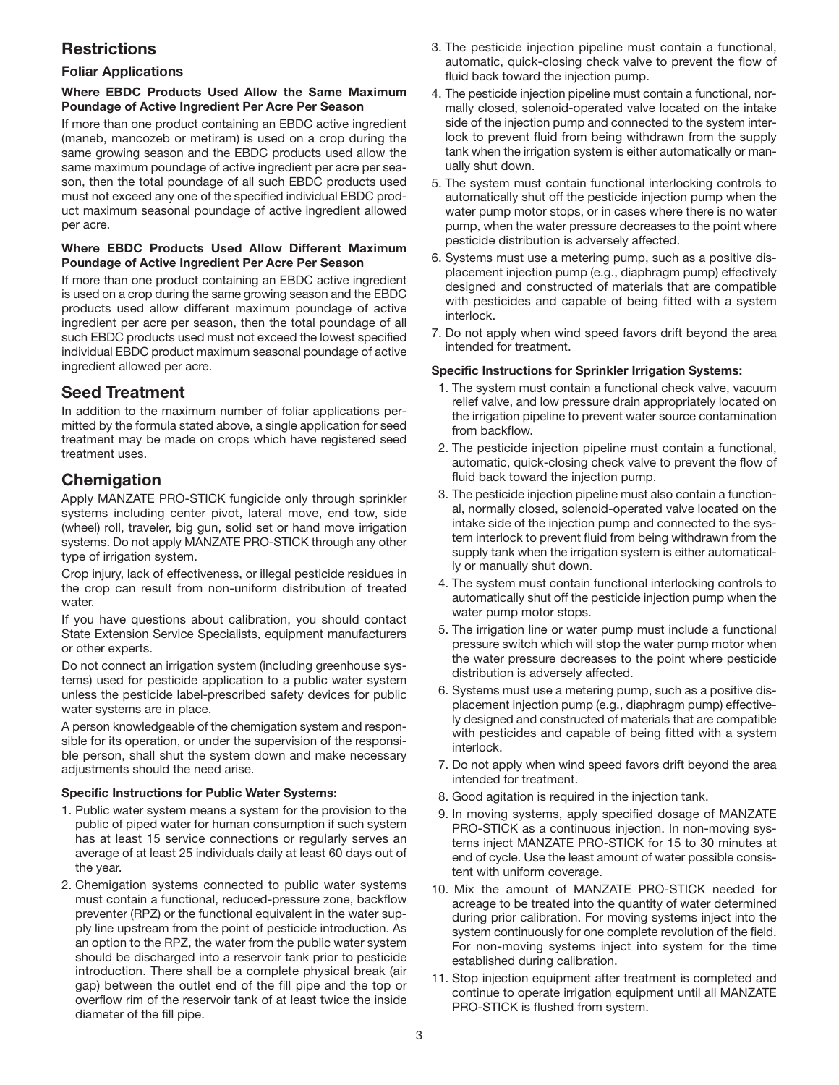# **Restrictions**

### **Foliar Applications**

### **Where EBDC Products Used Allow the Same Maximum Poundage of Active Ingredient Per Acre Per Season**

If more than one product containing an EBDC active ingredient (maneb, mancozeb or metiram) is used on a crop during the same growing season and the EBDC products used allow the same maximum poundage of active ingredient per acre per season, then the total poundage of all such EBDC products used must not exceed any one of the specified individual EBDC product maximum seasonal poundage of active ingredient allowed per acre.

#### **Where EBDC Products Used Allow Different Maximum Poundage of Active Ingredient Per Acre Per Season**

If more than one product containing an EBDC active ingredient is used on a crop during the same growing season and the EBDC products used allow different maximum poundage of active ingredient per acre per season, then the total poundage of all such EBDC products used must not exceed the lowest specified individual EBDC product maximum seasonal poundage of active ingredient allowed per acre.

# **Seed Treatment**

In addition to the maximum number of foliar applications permitted by the formula stated above, a single application for seed treatment may be made on crops which have registered seed treatment uses.

# **Chemigation**

Apply MANZATE PRO-STICK fungicide only through sprinkler systems including center pivot, lateral move, end tow, side (wheel) roll, traveler, big gun, solid set or hand move irrigation systems. Do not apply MANZATE PRO-STICK through any other type of irrigation system.

Crop injury, lack of effectiveness, or illegal pesticide residues in the crop can result from non-uniform distribution of treated water.

If you have questions about calibration, you should contact State Extension Service Specialists, equipment manufacturers or other experts.

Do not connect an irrigation system (including greenhouse systems) used for pesticide application to a public water system unless the pesticide label-prescribed safety devices for public water systems are in place.

A person knowledgeable of the chemigation system and responsible for its operation, or under the supervision of the responsible person, shall shut the system down and make necessary adjustments should the need arise.

### **Specific Instructions for Public Water Systems:**

- 1. Public water system means a system for the provision to the public of piped water for human consumption if such system has at least 15 service connections or regularly serves an average of at least 25 individuals daily at least 60 days out of the year.
- 2. Chemigation systems connected to public water systems must contain a functional, reduced-pressure zone, backflow preventer (RPZ) or the functional equivalent in the water supply line upstream from the point of pesticide introduction. As an option to the RPZ, the water from the public water system should be discharged into a reservoir tank prior to pesticide introduction. There shall be a complete physical break (air gap) between the outlet end of the fill pipe and the top or overflow rim of the reservoir tank of at least twice the inside diameter of the fill pipe.
- 3. The pesticide injection pipeline must contain a functional, automatic, quick-closing check valve to prevent the flow of fluid back toward the injection pump.
- 4. The pesticide injection pipeline must contain a functional, normally closed, solenoid-operated valve located on the intake side of the injection pump and connected to the system interlock to prevent fluid from being withdrawn from the supply tank when the irrigation system is either automatically or manually shut down.
- 5. The system must contain functional interlocking controls to automatically shut off the pesticide injection pump when the water pump motor stops, or in cases where there is no water pump, when the water pressure decreases to the point where pesticide distribution is adversely affected.
- 6. Systems must use a metering pump, such as a positive displacement injection pump (e.g., diaphragm pump) effectively designed and constructed of materials that are compatible with pesticides and capable of being fitted with a system interlock.
- 7. Do not apply when wind speed favors drift beyond the area intended for treatment.

### **Specific Instructions for Sprinkler Irrigation Systems:**

- 1. The system must contain a functional check valve, vacuum relief valve, and low pressure drain appropriately located on the irrigation pipeline to prevent water source contamination from backflow.
- 2. The pesticide injection pipeline must contain a functional, automatic, quick-closing check valve to prevent the flow of fluid back toward the injection pump.
- 3. The pesticide injection pipeline must also contain a functional, normally closed, solenoid-operated valve located on the intake side of the injection pump and connected to the system interlock to prevent fluid from being withdrawn from the supply tank when the irrigation system is either automatically or manually shut down.
- 4. The system must contain functional interlocking controls to automatically shut off the pesticide injection pump when the water pump motor stops.
- 5. The irrigation line or water pump must include a functional pressure switch which will stop the water pump motor when the water pressure decreases to the point where pesticide distribution is adversely affected.
- 6. Systems must use a metering pump, such as a positive displacement injection pump (e.g., diaphragm pump) effectively designed and constructed of materials that are compatible with pesticides and capable of being fitted with a system interlock.
- 7. Do not apply when wind speed favors drift beyond the area intended for treatment.
- 8. Good agitation is required in the injection tank.
- 9. In moving systems, apply specified dosage of MANZATE PRO-STICK as a continuous injection. In non-moving systems inject MANZATE PRO-STICK for 15 to 30 minutes at end of cycle. Use the least amount of water possible consistent with uniform coverage.
- 10. Mix the amount of MANZATE PRO-STICK needed for acreage to be treated into the quantity of water determined during prior calibration. For moving systems inject into the system continuously for one complete revolution of the field. For non-moving systems inject into system for the time established during calibration.
- 11. Stop injection equipment after treatment is completed and continue to operate irrigation equipment until all MANZATE PRO-STICK is flushed from system.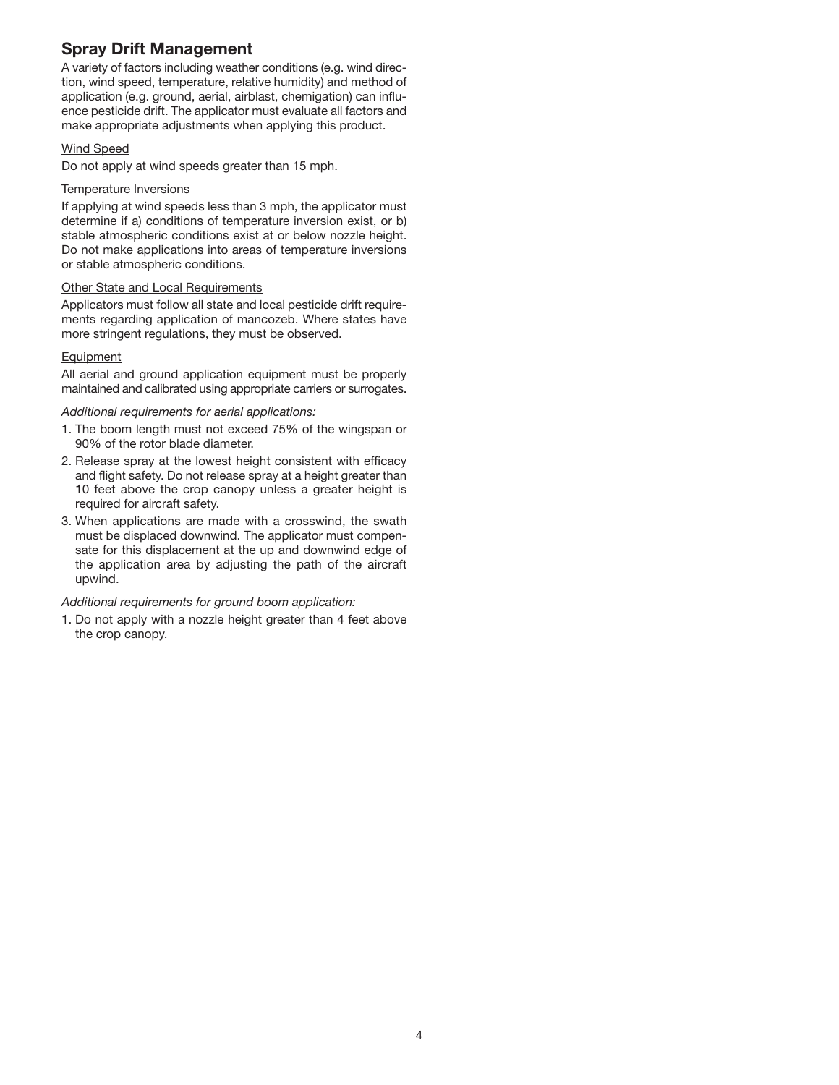# **Spray Drift Management**

A variety of factors including weather conditions (e.g. wind direction, wind speed, temperature, relative humidity) and method of application (e.g. ground, aerial, airblast, chemigation) can influence pesticide drift. The applicator must evaluate all factors and make appropriate adjustments when applying this product.

### Wind Speed

Do not apply at wind speeds greater than 15 mph.

### Temperature Inversions

If applying at wind speeds less than 3 mph, the applicator must determine if a) conditions of temperature inversion exist, or b) stable atmospheric conditions exist at or below nozzle height. Do not make applications into areas of temperature inversions or stable atmospheric conditions.

### **Other State and Local Requirements**

Applicators must follow all state and local pesticide drift requirements regarding application of mancozeb. Where states have more stringent regulations, they must be observed.

### **Equipment**

All aerial and ground application equipment must be properly maintained and calibrated using appropriate carriers or surrogates.

### *Additional requirements for aerial applications:*

- 1. The boom length must not exceed 75% of the wingspan or 90% of the rotor blade diameter.
- 2. Release spray at the lowest height consistent with efficacy and flight safety. Do not release spray at a height greater than 10 feet above the crop canopy unless a greater height is required for aircraft safety.
- 3. When applications are made with a crosswind, the swath must be displaced downwind. The applicator must compensate for this displacement at the up and downwind edge of the application area by adjusting the path of the aircraft upwind.

#### *Additional requirements for ground boom application:*

1. Do not apply with a nozzle height greater than 4 feet above the crop canopy.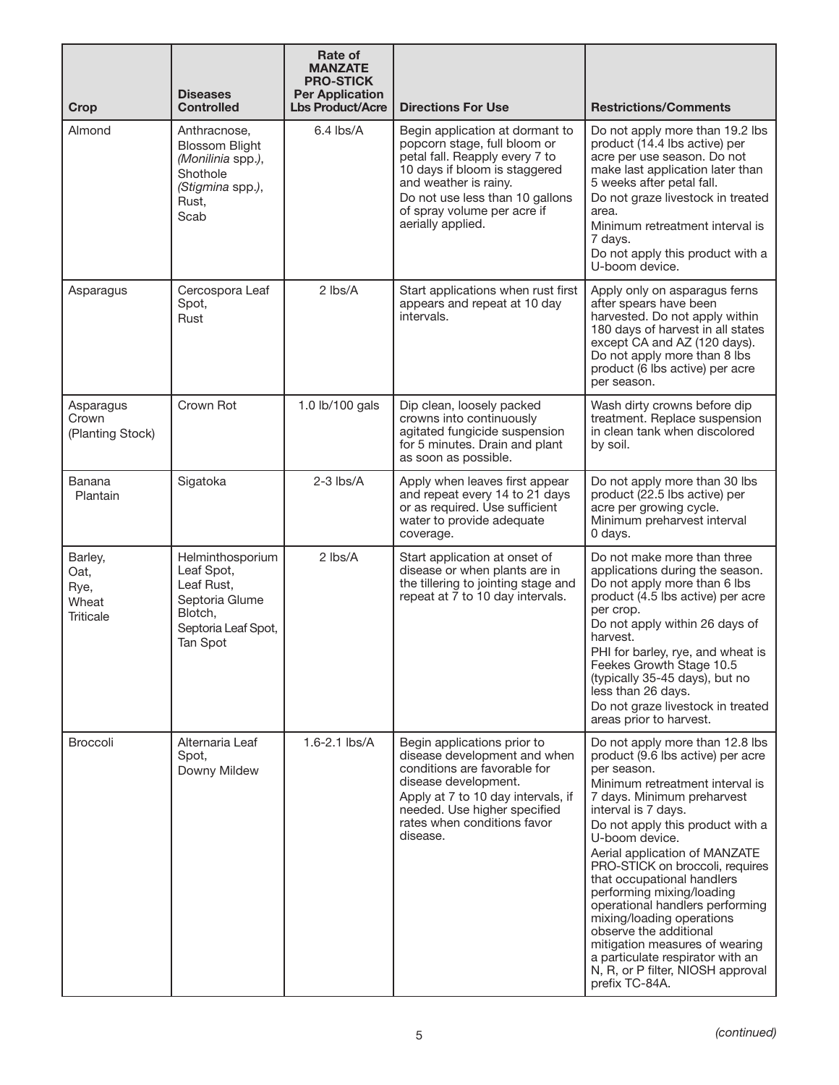| Crop                                                 | <b>Diseases</b><br><b>Controlled</b>                                                                         | Rate of<br><b>MANZATE</b><br><b>PRO-STICK</b><br><b>Per Application</b><br><b>Lbs Product/Acre</b> | <b>Directions For Use</b>                                                                                                                                                                                                                          | <b>Restrictions/Comments</b>                                                                                                                                                                                                                                                                                                                                                                                                                                                                                                                                                            |
|------------------------------------------------------|--------------------------------------------------------------------------------------------------------------|----------------------------------------------------------------------------------------------------|----------------------------------------------------------------------------------------------------------------------------------------------------------------------------------------------------------------------------------------------------|-----------------------------------------------------------------------------------------------------------------------------------------------------------------------------------------------------------------------------------------------------------------------------------------------------------------------------------------------------------------------------------------------------------------------------------------------------------------------------------------------------------------------------------------------------------------------------------------|
| Almond                                               | Anthracnose,<br><b>Blossom Blight</b><br>(Monilinia spp.),<br>Shothole<br>(Stigmina spp.),<br>Rust,<br>Scab  | $6.4$ lbs/A                                                                                        | Begin application at dormant to<br>popcorn stage, full bloom or<br>petal fall. Reapply every 7 to<br>10 days if bloom is staggered<br>and weather is rainy.<br>Do not use less than 10 gallons<br>of spray volume per acre if<br>aerially applied. | Do not apply more than 19.2 lbs<br>product (14.4 lbs active) per<br>acre per use season. Do not<br>make last application later than<br>5 weeks after petal fall.<br>Do not graze livestock in treated<br>area.<br>Minimum retreatment interval is<br>7 days.<br>Do not apply this product with a<br>U-boom device.                                                                                                                                                                                                                                                                      |
| Asparagus                                            | Cercospora Leaf<br>Spot,<br>Rust                                                                             | 2 lbs/A                                                                                            | Start applications when rust first<br>appears and repeat at 10 day<br>intervals.                                                                                                                                                                   | Apply only on asparagus ferns<br>after spears have been<br>harvested. Do not apply within<br>180 days of harvest in all states<br>except CA and AZ (120 days).<br>Do not apply more than 8 lbs<br>product (6 lbs active) per acre<br>per season.                                                                                                                                                                                                                                                                                                                                        |
| Asparagus<br>Crown<br>(Planting Stock)               | Crown Rot                                                                                                    | 1.0 lb/100 gals                                                                                    | Dip clean, loosely packed<br>crowns into continuously<br>agitated fungicide suspension<br>for 5 minutes. Drain and plant<br>as soon as possible.                                                                                                   | Wash dirty crowns before dip<br>treatment. Replace suspension<br>in clean tank when discolored<br>by soil.                                                                                                                                                                                                                                                                                                                                                                                                                                                                              |
| Banana<br>Plantain                                   | Sigatoka                                                                                                     | $2-3$ lbs/A                                                                                        | Apply when leaves first appear<br>and repeat every 14 to 21 days<br>or as required. Use sufficient<br>water to provide adequate<br>coverage.                                                                                                       | Do not apply more than 30 lbs<br>product (22.5 lbs active) per<br>acre per growing cycle.<br>Minimum preharvest interval<br>0 days.                                                                                                                                                                                                                                                                                                                                                                                                                                                     |
| Barley,<br>Oat,<br>Rye,<br>Wheat<br><b>Triticale</b> | Helminthosporium<br>Leaf Spot,<br>Leaf Rust,<br>Septoria Glume<br>Blotch.<br>Septoria Leaf Spot,<br>Tan Spot | 2 lbs/A                                                                                            | Start application at onset of<br>disease or when plants are in<br>the tillering to jointing stage and<br>repeat at 7 to 10 day intervals.                                                                                                          | Do not make more than three<br>applications during the season.<br>Do not apply more than 6 lbs<br>product (4.5 lbs active) per acre<br>per crop.<br>Do not apply within 26 days of<br>harvest.<br>PHI for barley, rye, and wheat is<br>Feekes Growth Stage 10.5<br>(typically 35-45 days), but no<br>less than 26 days.<br>Do not graze livestock in treated<br>areas prior to harvest.                                                                                                                                                                                                 |
| <b>Broccoli</b>                                      | Alternaria Leaf<br>Spot,<br>Downy Mildew                                                                     | $1.6 - 2.1$ lbs/A                                                                                  | Begin applications prior to<br>disease development and when<br>conditions are favorable for<br>disease development.<br>Apply at 7 to 10 day intervals, if<br>needed. Use higher specified<br>rates when conditions favor<br>disease.               | Do not apply more than 12.8 lbs<br>product (9.6 lbs active) per acre<br>per season.<br>Minimum retreatment interval is<br>7 days. Minimum preharvest<br>interval is 7 days.<br>Do not apply this product with a<br>U-boom device.<br>Aerial application of MANZATE<br>PRO-STICK on broccoli, requires<br>that occupational handlers<br>performing mixing/loading<br>operational handlers performing<br>mixing/loading operations<br>observe the additional<br>mitigation measures of wearing<br>a particulate respirator with an<br>N, R, or P filter, NIOSH approval<br>prefix TC-84A. |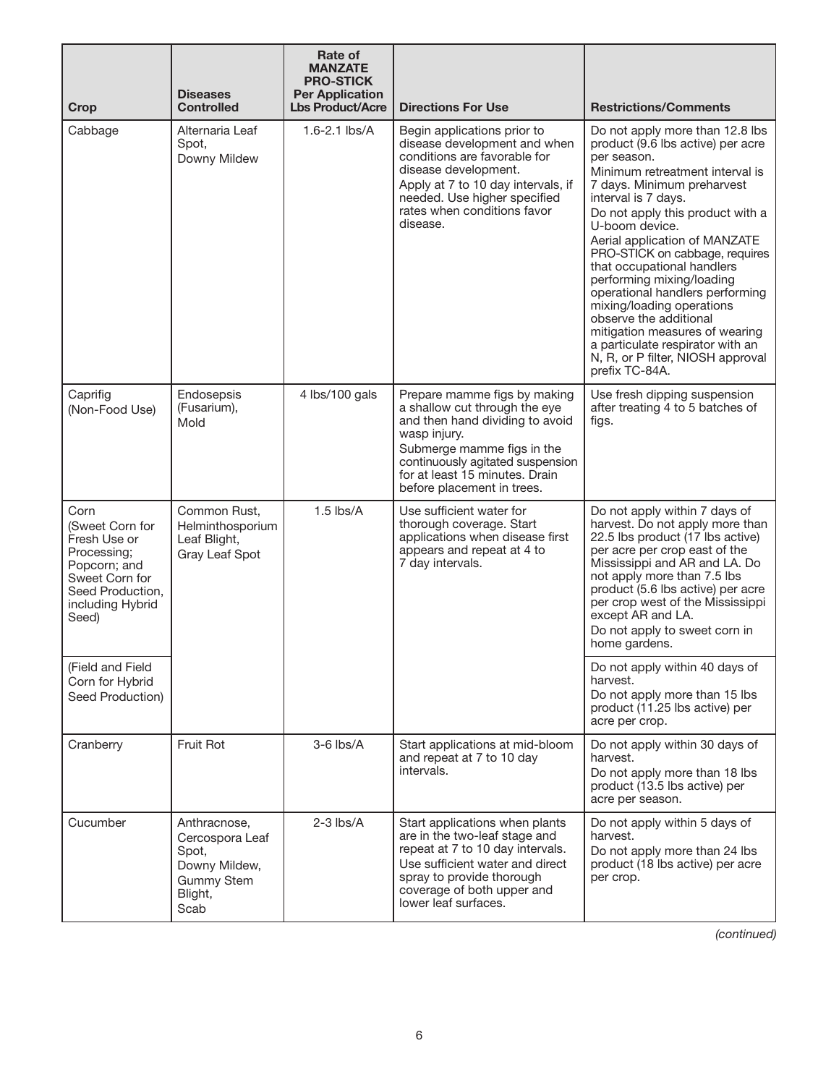| Crop                                                                                                                                      | <b>Diseases</b><br><b>Controlled</b>                                                              | Rate of<br><b>MANZATE</b><br><b>PRO-STICK</b><br><b>Per Application</b><br><b>Lbs Product/Acre</b> | <b>Directions For Use</b>                                                                                                                                                                                                                          | <b>Restrictions/Comments</b>                                                                                                                                                                                                                                                                                                                                                                                                                                                                                                                                                           |
|-------------------------------------------------------------------------------------------------------------------------------------------|---------------------------------------------------------------------------------------------------|----------------------------------------------------------------------------------------------------|----------------------------------------------------------------------------------------------------------------------------------------------------------------------------------------------------------------------------------------------------|----------------------------------------------------------------------------------------------------------------------------------------------------------------------------------------------------------------------------------------------------------------------------------------------------------------------------------------------------------------------------------------------------------------------------------------------------------------------------------------------------------------------------------------------------------------------------------------|
| Cabbage                                                                                                                                   | Alternaria Leaf<br>Spot,<br>Downy Mildew                                                          | $1.6 - 2.1$ lbs/A                                                                                  | Begin applications prior to<br>disease development and when<br>conditions are favorable for<br>disease development.<br>Apply at 7 to 10 day intervals, if<br>needed. Use higher specified<br>rates when conditions favor<br>disease.               | Do not apply more than 12.8 lbs<br>product (9.6 lbs active) per acre<br>per season.<br>Minimum retreatment interval is<br>7 days. Minimum preharvest<br>interval is 7 days.<br>Do not apply this product with a<br>U-boom device.<br>Aerial application of MANZATE<br>PRO-STICK on cabbage, requires<br>that occupational handlers<br>performing mixing/loading<br>operational handlers performing<br>mixing/loading operations<br>observe the additional<br>mitigation measures of wearing<br>a particulate respirator with an<br>N, R, or P filter, NIOSH approval<br>prefix TC-84A. |
| Caprifig<br>(Non-Food Use)                                                                                                                | Endosepsis<br>(Fusarium),<br>Mold                                                                 | 4 lbs/100 gals                                                                                     | Prepare mamme figs by making<br>a shallow cut through the eye<br>and then hand dividing to avoid<br>wasp injury.<br>Submerge mamme figs in the<br>continuously agitated suspension<br>for at least 15 minutes. Drain<br>before placement in trees. | Use fresh dipping suspension<br>after treating 4 to 5 batches of<br>figs.                                                                                                                                                                                                                                                                                                                                                                                                                                                                                                              |
| Corn<br>(Sweet Corn for<br>Fresh Use or<br>Processing;<br>Popcorn; and<br>Sweet Corn for<br>Seed Production,<br>including Hybrid<br>Seed) | Common Rust,<br>Helminthosporium<br>Leaf Blight,<br>Gray Leaf Spot                                | $1.5$ lbs/A                                                                                        | Use sufficient water for<br>thorough coverage. Start<br>applications when disease first<br>appears and repeat at 4 to<br>7 day intervals.                                                                                                          | Do not apply within 7 days of<br>harvest. Do not apply more than<br>22.5 lbs product (17 lbs active)<br>per acre per crop east of the<br>Mississippi and AR and LA. Do<br>not apply more than 7.5 lbs<br>product (5.6 lbs active) per acre<br>per crop west of the Mississippi<br>except AR and LA.<br>Do not apply to sweet corn in<br>home gardens.                                                                                                                                                                                                                                  |
| (Field and Field<br>Corn for Hybrid<br>Seed Production)                                                                                   |                                                                                                   |                                                                                                    |                                                                                                                                                                                                                                                    | Do not apply within 40 days of<br>harvest.<br>Do not apply more than 15 lbs<br>product (11.25 lbs active) per<br>acre per crop.                                                                                                                                                                                                                                                                                                                                                                                                                                                        |
| Cranberry                                                                                                                                 | <b>Fruit Rot</b>                                                                                  | $3-6$ lbs/A                                                                                        | Start applications at mid-bloom<br>and repeat at 7 to 10 day<br>intervals.                                                                                                                                                                         | Do not apply within 30 days of<br>harvest.<br>Do not apply more than 18 lbs<br>product (13.5 lbs active) per<br>acre per season.                                                                                                                                                                                                                                                                                                                                                                                                                                                       |
| Cucumber                                                                                                                                  | Anthracnose,<br>Cercospora Leaf<br>Spot,<br>Downy Mildew,<br><b>Gummy Stem</b><br>Blight,<br>Scab | $2-3$ lbs/A                                                                                        | Start applications when plants<br>are in the two-leaf stage and<br>repeat at 7 to 10 day intervals.<br>Use sufficient water and direct<br>spray to provide thorough<br>coverage of both upper and<br>lower leaf surfaces.                          | Do not apply within 5 days of<br>harvest.<br>Do not apply more than 24 lbs<br>product (18 lbs active) per acre<br>per crop.                                                                                                                                                                                                                                                                                                                                                                                                                                                            |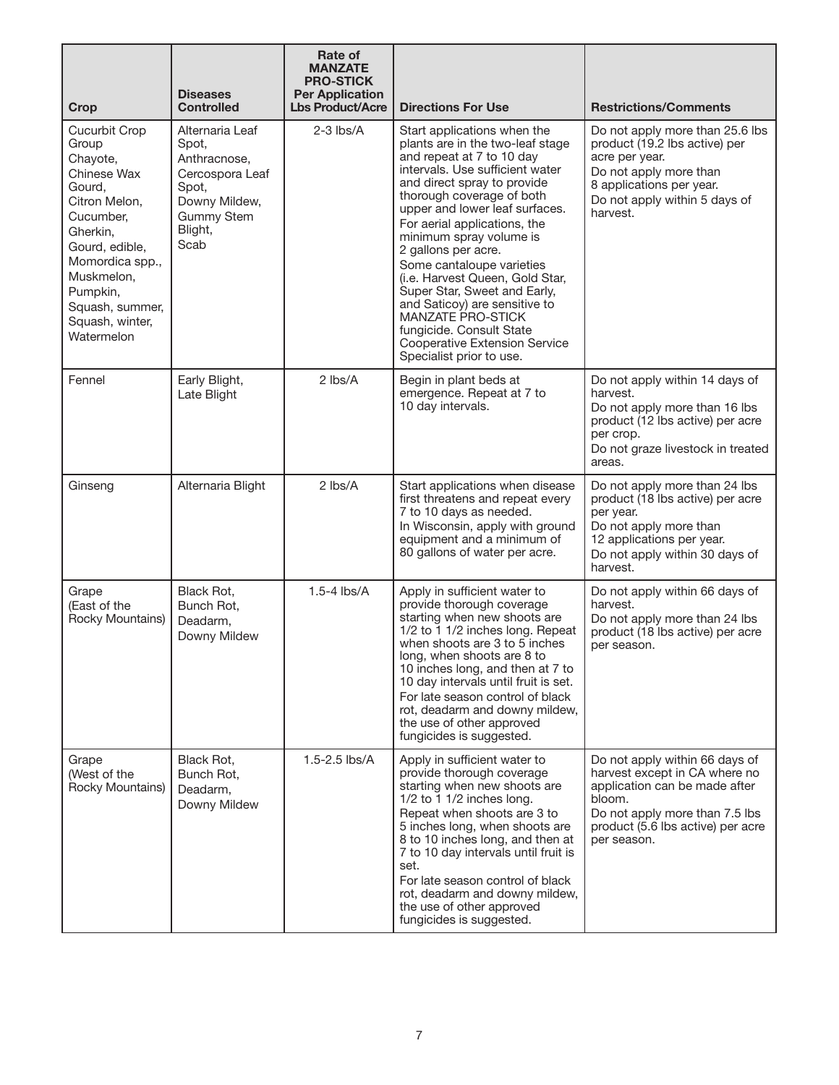| Crop                                                                                                                                                                                                                            | <b>Diseases</b><br><b>Controlled</b>                                                                                          | Rate of<br><b>MANZATE</b><br><b>PRO-STICK</b><br><b>Per Application</b><br><b>Lbs Product/Acre</b> | <b>Directions For Use</b>                                                                                                                                                                                                                                                                                                                                                                                                                                                                                                                                             | <b>Restrictions/Comments</b>                                                                                                                                                                     |
|---------------------------------------------------------------------------------------------------------------------------------------------------------------------------------------------------------------------------------|-------------------------------------------------------------------------------------------------------------------------------|----------------------------------------------------------------------------------------------------|-----------------------------------------------------------------------------------------------------------------------------------------------------------------------------------------------------------------------------------------------------------------------------------------------------------------------------------------------------------------------------------------------------------------------------------------------------------------------------------------------------------------------------------------------------------------------|--------------------------------------------------------------------------------------------------------------------------------------------------------------------------------------------------|
| <b>Cucurbit Crop</b><br>Group<br>Chayote,<br>Chinese Wax<br>Gourd,<br>Citron Melon,<br>Cucumber,<br>Gherkin,<br>Gourd, edible,<br>Momordica spp.,<br>Muskmelon,<br>Pumpkin,<br>Squash, summer,<br>Squash, winter,<br>Watermelon | Alternaria Leaf<br>Spot,<br>Anthracnose,<br>Cercospora Leaf<br>Spot,<br>Downy Mildew,<br><b>Gummy Stem</b><br>Blight,<br>Scab | $2-3$ $\text{lbs/A}$                                                                               | Start applications when the<br>plants are in the two-leaf stage<br>and repeat at 7 to 10 day<br>intervals. Use sufficient water<br>and direct spray to provide<br>thorough coverage of both<br>upper and lower leaf surfaces.<br>For aerial applications, the<br>minimum spray volume is<br>2 gallons per acre.<br>Some cantaloupe varieties<br>(i.e. Harvest Queen, Gold Star,<br>Super Star, Sweet and Early,<br>and Saticoy) are sensitive to<br><b>MANZATE PRO-STICK</b><br>fungicide. Consult State<br>Cooperative Extension Service<br>Specialist prior to use. | Do not apply more than 25.6 lbs<br>product (19.2 lbs active) per<br>acre per year.<br>Do not apply more than<br>8 applications per year.<br>Do not apply within 5 days of<br>harvest.            |
| Fennel                                                                                                                                                                                                                          | Early Blight,<br>Late Blight                                                                                                  | $2$ lbs/ $A$                                                                                       | Begin in plant beds at<br>emergence. Repeat at 7 to<br>10 day intervals.                                                                                                                                                                                                                                                                                                                                                                                                                                                                                              | Do not apply within 14 days of<br>harvest.<br>Do not apply more than 16 lbs<br>product (12 lbs active) per acre<br>per crop.<br>Do not graze livestock in treated<br>areas.                      |
| Ginseng                                                                                                                                                                                                                         | Alternaria Blight                                                                                                             | 2 lbs/A                                                                                            | Start applications when disease<br>first threatens and repeat every<br>7 to 10 days as needed.<br>In Wisconsin, apply with ground<br>equipment and a minimum of<br>80 gallons of water per acre.                                                                                                                                                                                                                                                                                                                                                                      | Do not apply more than 24 lbs<br>product (18 lbs active) per acre<br>per year.<br>Do not apply more than<br>12 applications per year.<br>Do not apply within 30 days of<br>harvest.              |
| Grape<br>(East of the<br>Rocky Mountains)                                                                                                                                                                                       | Black Rot,<br>Bunch Rot,<br>Deadarm,<br>Downy Mildew                                                                          | $1.5 - 4$ lbs/A                                                                                    | Apply in sufficient water to<br>provide thorough coverage<br>starting when new shoots are<br>1/2 to 1 1/2 inches long. Repeat<br>when shoots are 3 to 5 inches<br>long, when shoots are 8 to<br>10 inches long, and then at 7 to<br>10 day intervals until fruit is set.<br>For late season control of black<br>rot, deadarm and downy mildew,<br>the use of other approved<br>fungicides is suggested.                                                                                                                                                               | Do not apply within 66 days of<br>harvest.<br>Do not apply more than 24 lbs<br>product (18 lbs active) per acre<br>per season.                                                                   |
| Grape<br>(West of the<br>Rocky Mountains)                                                                                                                                                                                       | Black Rot,<br>Bunch Rot,<br>Deadarm,<br>Downy Mildew                                                                          | $1.5 - 2.5$ lbs/A                                                                                  | Apply in sufficient water to<br>provide thorough coverage<br>starting when new shoots are<br>$1/2$ to 1 $1/2$ inches long.<br>Repeat when shoots are 3 to<br>5 inches long, when shoots are<br>8 to 10 inches long, and then at<br>7 to 10 day intervals until fruit is<br>set.<br>For late season control of black<br>rot, deadarm and downy mildew,<br>the use of other approved<br>fungicides is suggested.                                                                                                                                                        | Do not apply within 66 days of<br>harvest except in CA where no<br>application can be made after<br>bloom.<br>Do not apply more than 7.5 lbs<br>product (5.6 lbs active) per acre<br>per season. |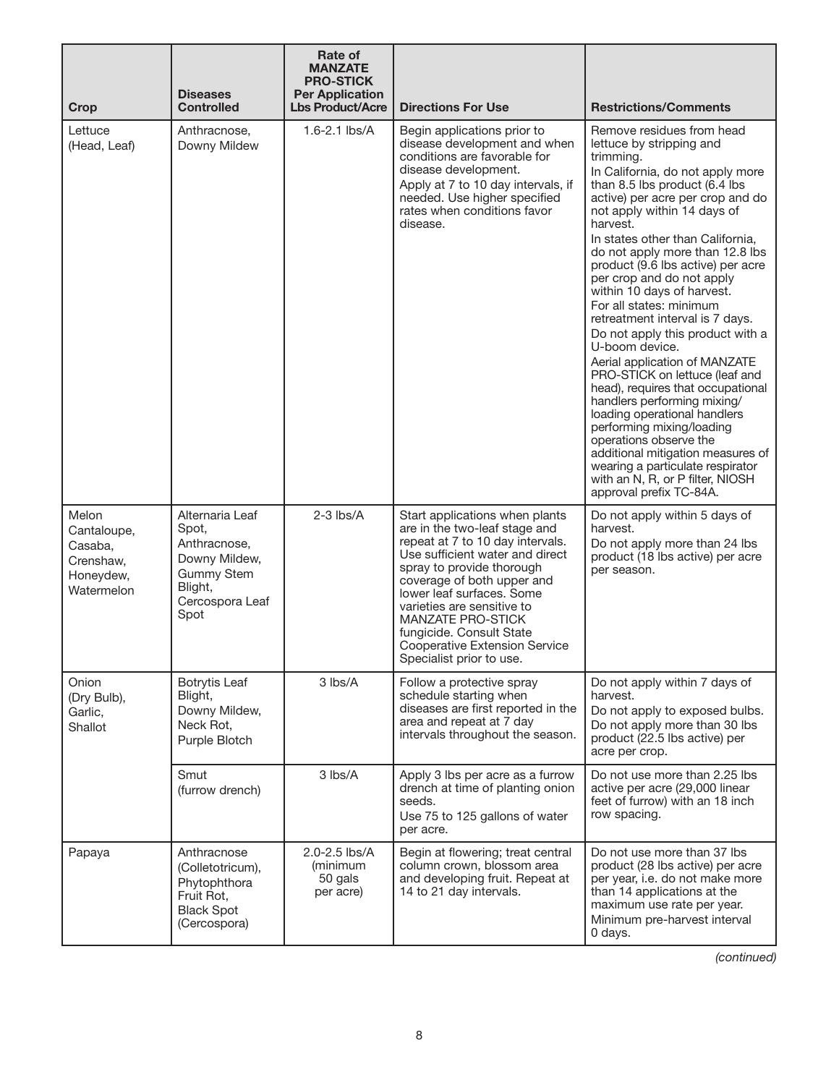| Crop                                                                    | <b>Diseases</b><br><b>Controlled</b>                                                                                 | Rate of<br><b>MANZATE</b><br><b>PRO-STICK</b><br><b>Per Application</b><br><b>Lbs Product/Acre</b> | <b>Directions For Use</b>                                                                                                                                                                                                                                                                                                                                                                | <b>Restrictions/Comments</b>                                                                                                                                                                                                                                                                                                                                                                                                                                                                                                                                                                                                                                                                                                                                                                                                                                                            |
|-------------------------------------------------------------------------|----------------------------------------------------------------------------------------------------------------------|----------------------------------------------------------------------------------------------------|------------------------------------------------------------------------------------------------------------------------------------------------------------------------------------------------------------------------------------------------------------------------------------------------------------------------------------------------------------------------------------------|-----------------------------------------------------------------------------------------------------------------------------------------------------------------------------------------------------------------------------------------------------------------------------------------------------------------------------------------------------------------------------------------------------------------------------------------------------------------------------------------------------------------------------------------------------------------------------------------------------------------------------------------------------------------------------------------------------------------------------------------------------------------------------------------------------------------------------------------------------------------------------------------|
| Lettuce<br>(Head, Leaf)                                                 | Anthracnose,<br>Downy Mildew                                                                                         | $1.6 - 2.1$ lbs/A                                                                                  | Begin applications prior to<br>disease development and when<br>conditions are favorable for<br>disease development.<br>Apply at 7 to 10 day intervals, if<br>needed. Use higher specified<br>rates when conditions favor<br>disease.                                                                                                                                                     | Remove residues from head<br>lettuce by stripping and<br>trimming.<br>In California, do not apply more<br>than 8.5 lbs product (6.4 lbs<br>active) per acre per crop and do<br>not apply within 14 days of<br>harvest.<br>In states other than California,<br>do not apply more than 12.8 lbs<br>product (9.6 lbs active) per acre<br>per crop and do not apply<br>within 10 days of harvest.<br>For all states: minimum<br>retreatment interval is 7 days.<br>Do not apply this product with a<br>U-boom device.<br>Aerial application of MANZATE<br>PRO-STICK on lettuce (leaf and<br>head), requires that occupational<br>handlers performing mixing/<br>loading operational handlers<br>performing mixing/loading<br>operations observe the<br>additional mitigation measures of<br>wearing a particulate respirator<br>with an N, R, or P filter, NIOSH<br>approval prefix TC-84A. |
| Melon<br>Cantaloupe,<br>Casaba,<br>Crenshaw,<br>Honeydew,<br>Watermelon | Alternaria Leaf<br>Spot,<br>Anthracnose,<br>Downy Mildew,<br><b>Gummy Stem</b><br>Blight,<br>Cercospora Leaf<br>Spot | $2-3$ lbs/A                                                                                        | Start applications when plants<br>are in the two-leaf stage and<br>repeat at 7 to 10 day intervals.<br>Use sufficient water and direct<br>spray to provide thorough<br>coverage of both upper and<br>lower leaf surfaces. Some<br>varieties are sensitive to<br><b>MANZATE PRO-STICK</b><br>fungicide. Consult State<br><b>Cooperative Extension Service</b><br>Specialist prior to use. | Do not apply within 5 days of<br>harvest.<br>Do not apply more than 24 lbs<br>product (18 lbs active) per acre<br>per season.                                                                                                                                                                                                                                                                                                                                                                                                                                                                                                                                                                                                                                                                                                                                                           |
| Onion<br>(Dry Bulb),<br>Garlic,<br>Shallot                              | <b>Botrytis Leaf</b><br>Blight,<br>Downy Mildew,<br>Neck Rot,<br>Purple Blotch                                       | 3 lbs/A                                                                                            | Follow a protective spray<br>schedule starting when<br>diseases are first reported in the<br>area and repeat at 7 day<br>intervals throughout the season.                                                                                                                                                                                                                                | Do not apply within 7 days of<br>harvest.<br>Do not apply to exposed bulbs.<br>Do not apply more than 30 lbs<br>product (22.5 lbs active) per<br>acre per crop.                                                                                                                                                                                                                                                                                                                                                                                                                                                                                                                                                                                                                                                                                                                         |
|                                                                         | Smut<br>(furrow drench)                                                                                              | 3 lbs/A                                                                                            | Apply 3 lbs per acre as a furrow<br>drench at time of planting onion<br>seeds.<br>Use 75 to 125 gallons of water<br>per acre.                                                                                                                                                                                                                                                            | Do not use more than 2.25 lbs<br>active per acre (29,000 linear<br>feet of furrow) with an 18 inch<br>row spacing.                                                                                                                                                                                                                                                                                                                                                                                                                                                                                                                                                                                                                                                                                                                                                                      |
| Papaya                                                                  | Anthracnose<br>(Colletotricum),<br>Phytophthora<br>Fruit Rot,<br><b>Black Spot</b><br>(Cercospora)                   | 2.0-2.5 lbs/A<br>(minimum<br>50 gals<br>per acre)                                                  | Begin at flowering; treat central<br>column crown, blossom area<br>and developing fruit. Repeat at<br>14 to 21 day intervals.                                                                                                                                                                                                                                                            | Do not use more than 37 lbs<br>product (28 lbs active) per acre<br>per year, i.e. do not make more<br>than 14 applications at the<br>maximum use rate per year.<br>Minimum pre-harvest interval<br>0 days.                                                                                                                                                                                                                                                                                                                                                                                                                                                                                                                                                                                                                                                                              |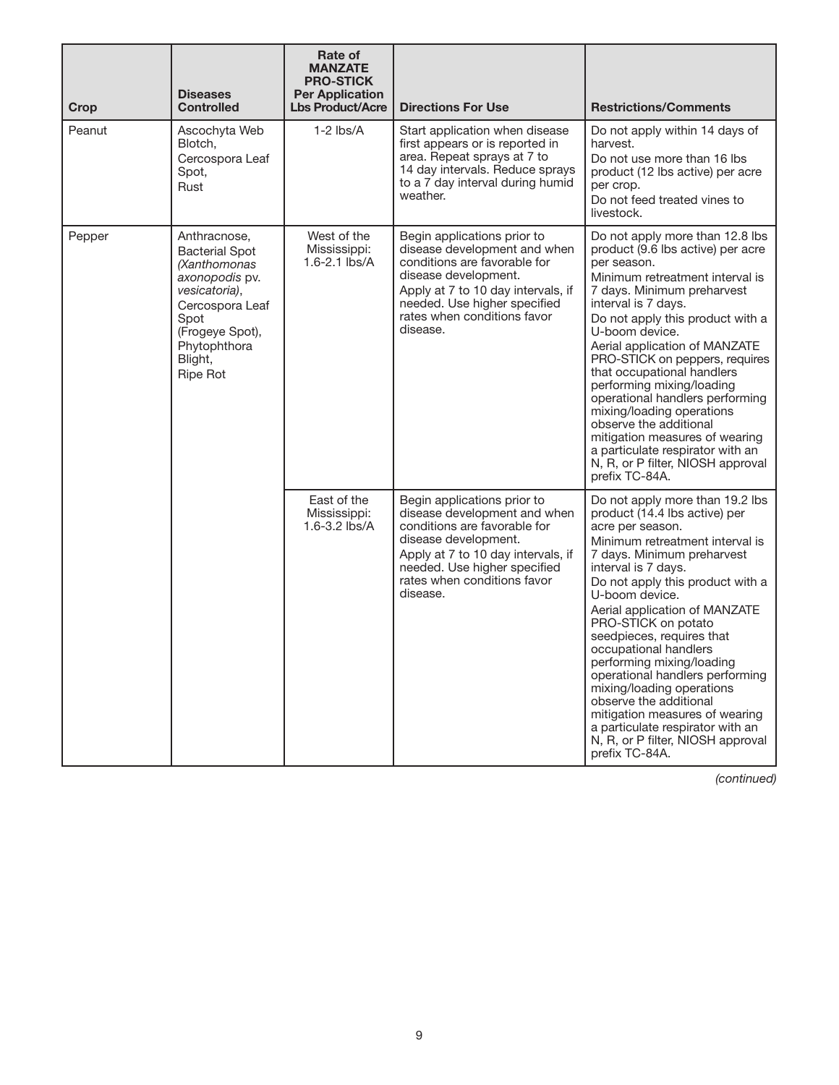| Crop   | <b>Diseases</b><br><b>Controlled</b>                                                                                                                                                 | Rate of<br><b>MANZATE</b><br><b>PRO-STICK</b><br><b>Per Application</b><br><b>Lbs Product/Acre</b> | <b>Directions For Use</b>                                                                                                                                                                                                            | <b>Restrictions/Comments</b>                                                                                                                                                                                                                                                                                                                                                                                                                                                                                                                                                                         |
|--------|--------------------------------------------------------------------------------------------------------------------------------------------------------------------------------------|----------------------------------------------------------------------------------------------------|--------------------------------------------------------------------------------------------------------------------------------------------------------------------------------------------------------------------------------------|------------------------------------------------------------------------------------------------------------------------------------------------------------------------------------------------------------------------------------------------------------------------------------------------------------------------------------------------------------------------------------------------------------------------------------------------------------------------------------------------------------------------------------------------------------------------------------------------------|
| Peanut | Ascochyta Web<br>Blotch.<br>Cercospora Leaf<br>Spot,<br>Rust                                                                                                                         | $1-2$ lbs/A                                                                                        | Start application when disease<br>first appears or is reported in<br>area. Repeat sprays at 7 to<br>14 day intervals. Reduce sprays<br>to a 7 day interval during humid<br>weather.                                                  | Do not apply within 14 days of<br>harvest.<br>Do not use more than 16 lbs<br>product (12 lbs active) per acre<br>per crop.<br>Do not feed treated vines to<br>livestock.                                                                                                                                                                                                                                                                                                                                                                                                                             |
| Pepper | Anthracnose,<br><b>Bacterial Spot</b><br>(Xanthomonas<br>axonopodis pv.<br>vesicatoria),<br>Cercospora Leaf<br>Spot<br>(Frogeye Spot),<br>Phytophthora<br>Blight,<br><b>Ripe Rot</b> | West of the<br>Mississippi:<br>1.6-2.1 lbs/A                                                       | Begin applications prior to<br>disease development and when<br>conditions are favorable for<br>disease development.<br>Apply at 7 to 10 day intervals, if<br>needed. Use higher specified<br>rates when conditions favor<br>disease. | Do not apply more than 12.8 lbs<br>product (9.6 lbs active) per acre<br>per season.<br>Minimum retreatment interval is<br>7 days. Minimum preharvest<br>interval is 7 days.<br>Do not apply this product with a<br>U-boom device.<br>Aerial application of MANZATE<br>PRO-STICK on peppers, requires<br>that occupational handlers<br>performing mixing/loading<br>operational handlers performing<br>mixing/loading operations<br>observe the additional<br>mitigation measures of wearing<br>a particulate respirator with an<br>N, R, or P filter, NIOSH approval<br>prefix TC-84A.               |
|        |                                                                                                                                                                                      | East of the<br>Mississippi:<br>1.6-3.2 lbs/A                                                       | Begin applications prior to<br>disease development and when<br>conditions are favorable for<br>disease development.<br>Apply at 7 to 10 day intervals, if<br>needed. Use higher specified<br>rates when conditions favor<br>disease. | Do not apply more than 19.2 lbs<br>product (14.4 lbs active) per<br>acre per season.<br>Minimum retreatment interval is<br>7 days. Minimum preharvest<br>interval is 7 days.<br>Do not apply this product with a<br>U-boom device.<br>Aerial application of MANZATE<br>PRO-STICK on potato<br>seedpieces, requires that<br>occupational handlers<br>performing mixing/loading<br>operational handlers performing<br>mixing/loading operations<br>observe the additional<br>mitigation measures of wearing<br>a particulate respirator with an<br>N, R, or P filter, NIOSH approval<br>prefix TC-84A. |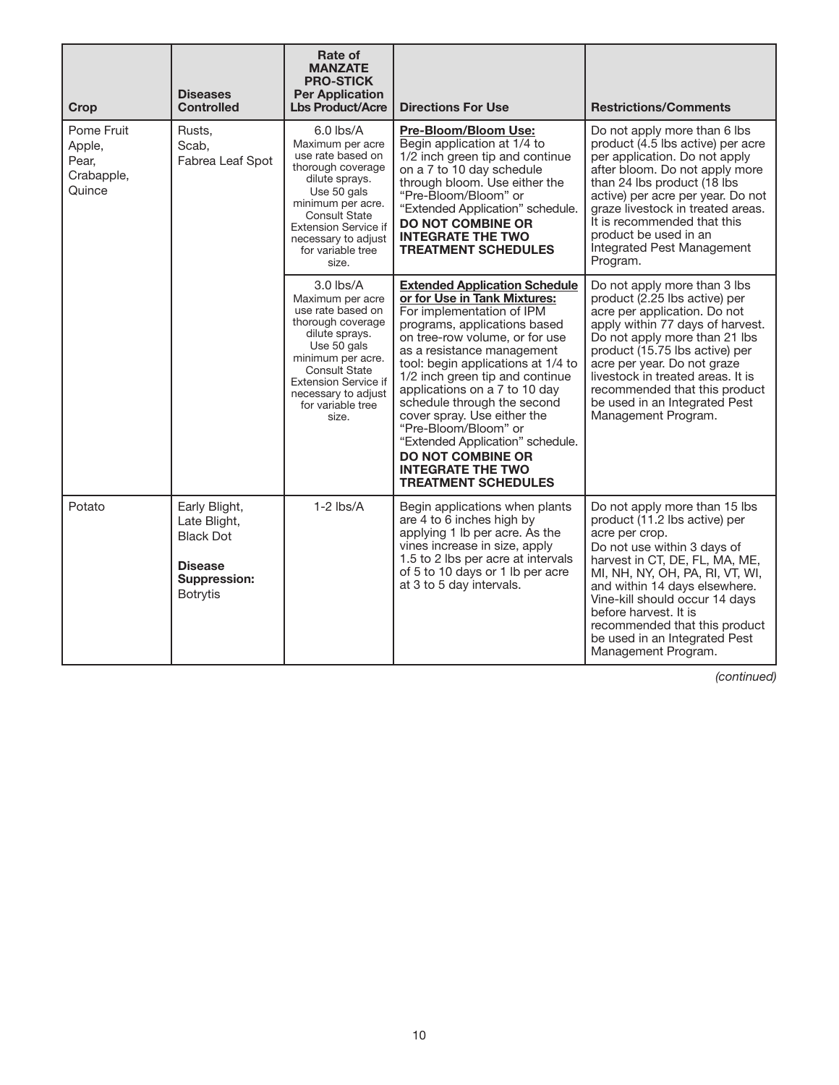| Crop                                                                     | <b>Diseases</b><br><b>Controlled</b>                                                                   | Rate of<br><b>MANZATE</b><br><b>PRO-STICK</b><br><b>Per Application</b><br><b>Lbs Product/Acre</b>                                                                                                                                          | <b>Directions For Use</b>                                                                                                                                                                                                                                                                                                                                                                                                                                                                                                   | <b>Restrictions/Comments</b>                                                                                                                                                                                                                                                                                                                                              |
|--------------------------------------------------------------------------|--------------------------------------------------------------------------------------------------------|---------------------------------------------------------------------------------------------------------------------------------------------------------------------------------------------------------------------------------------------|-----------------------------------------------------------------------------------------------------------------------------------------------------------------------------------------------------------------------------------------------------------------------------------------------------------------------------------------------------------------------------------------------------------------------------------------------------------------------------------------------------------------------------|---------------------------------------------------------------------------------------------------------------------------------------------------------------------------------------------------------------------------------------------------------------------------------------------------------------------------------------------------------------------------|
| Pome Fruit<br>Rusts,<br>Apple,<br>Scab.<br>Pear,<br>Crabapple,<br>Quince | Fabrea Leaf Spot                                                                                       | $6.0$ lbs/A<br>Maximum per acre<br>use rate based on<br>thorough coverage<br>dilute sprays.<br>Use 50 gals<br>minimum per acre.<br><b>Consult State</b><br><b>Extension Service if</b><br>necessary to adjust<br>for variable tree<br>size. | Pre-Bloom/Bloom Use:<br>Begin application at 1/4 to<br>1/2 inch green tip and continue<br>on a 7 to 10 day schedule<br>through bloom. Use either the<br>"Pre-Bloom/Bloom" or<br>"Extended Application" schedule.<br><b>DO NOT COMBINE OR</b><br><b>INTEGRATE THE TWO</b><br><b>TREATMENT SCHEDULES</b>                                                                                                                                                                                                                      | Do not apply more than 6 lbs<br>product (4.5 lbs active) per acre<br>per application. Do not apply<br>after bloom. Do not apply more<br>than 24 lbs product (18 lbs<br>active) per acre per year. Do not<br>graze livestock in treated areas.<br>It is recommended that this<br>product be used in an<br>Integrated Pest Management<br>Program.                           |
|                                                                          |                                                                                                        | $3.0$ lbs/A<br>Maximum per acre<br>use rate based on<br>thorough coverage<br>dilute sprays.<br>Use 50 gals<br>minimum per acre.<br><b>Consult State</b><br><b>Extension Service if</b><br>necessary to adjust<br>for variable tree<br>size. | <b>Extended Application Schedule</b><br>or for Use in Tank Mixtures:<br>For implementation of IPM<br>programs, applications based<br>on tree-row volume, or for use<br>as a resistance management<br>tool: begin applications at 1/4 to<br>1/2 inch green tip and continue<br>applications on a 7 to 10 day<br>schedule through the second<br>cover spray. Use either the<br>"Pre-Bloom/Bloom" or<br>"Extended Application" schedule.<br><b>DO NOT COMBINE OR</b><br><b>INTEGRATE THE TWO</b><br><b>TREATMENT SCHEDULES</b> | Do not apply more than 3 lbs<br>product (2.25 lbs active) per<br>acre per application. Do not<br>apply within 77 days of harvest.<br>Do not apply more than 21 lbs<br>product (15.75 lbs active) per<br>acre per year. Do not graze<br>livestock in treated areas. It is<br>recommended that this product<br>be used in an Integrated Pest<br>Management Program.         |
| Potato                                                                   | Early Blight,<br>Late Blight,<br><b>Black Dot</b><br><b>Disease</b><br><b>Suppression:</b><br>Botrytis | $1-2$ lbs/A                                                                                                                                                                                                                                 | Begin applications when plants<br>are 4 to 6 inches high by<br>applying 1 lb per acre. As the<br>vines increase in size, apply<br>1.5 to 2 lbs per acre at intervals<br>of 5 to 10 days or 1 lb per acre<br>at 3 to 5 day intervals.                                                                                                                                                                                                                                                                                        | Do not apply more than 15 lbs<br>product (11.2 lbs active) per<br>acre per crop.<br>Do not use within 3 days of<br>harvest in CT, DE, FL, MA, ME,<br>MI, NH, NY, OH, PA, RI, VT, WI,<br>and within 14 days elsewhere.<br>Vine-kill should occur 14 days<br>before harvest. It is<br>recommended that this product<br>be used in an Integrated Pest<br>Management Program. |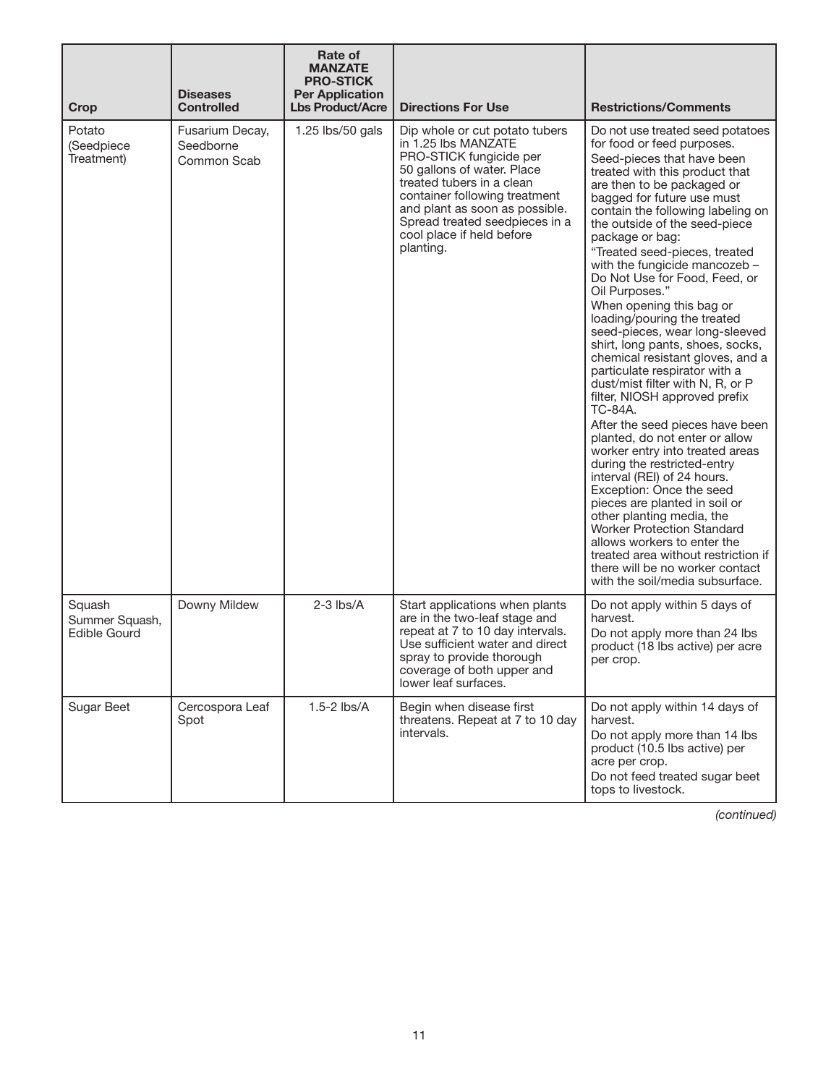| Crop                                            | <b>Diseases</b><br><b>Controlled</b>        | Rate of<br><b>MANZATE</b><br><b>PRO-STICK</b><br><b>Per Application</b><br><b>Lbs Product/Acre</b> | <b>Directions For Use</b>                                                                                                                                                                                                                                                                  | <b>Restrictions/Comments</b>                                                                                                                                                                                                                                                                                                                                                                                                                                                                                                                                                                                                                                                                                                                                                                                                                                                                                                                                                                                                                                                                                                                             |
|-------------------------------------------------|---------------------------------------------|----------------------------------------------------------------------------------------------------|--------------------------------------------------------------------------------------------------------------------------------------------------------------------------------------------------------------------------------------------------------------------------------------------|----------------------------------------------------------------------------------------------------------------------------------------------------------------------------------------------------------------------------------------------------------------------------------------------------------------------------------------------------------------------------------------------------------------------------------------------------------------------------------------------------------------------------------------------------------------------------------------------------------------------------------------------------------------------------------------------------------------------------------------------------------------------------------------------------------------------------------------------------------------------------------------------------------------------------------------------------------------------------------------------------------------------------------------------------------------------------------------------------------------------------------------------------------|
| Potato<br>(Seedpiece<br>Treatment)              | Fusarium Decay,<br>Seedborne<br>Common Scab | 1.25 lbs/50 gals                                                                                   | Dip whole or cut potato tubers<br>in 1.25 lbs MANZATE<br>PRO-STICK fungicide per<br>50 gallons of water. Place<br>treated tubers in a clean<br>container following treatment<br>and plant as soon as possible.<br>Spread treated seedpieces in a<br>cool place if held before<br>planting. | Do not use treated seed potatoes<br>for food or feed purposes.<br>Seed-pieces that have been<br>treated with this product that<br>are then to be packaged or<br>bagged for future use must<br>contain the following labeling on<br>the outside of the seed-piece<br>package or bag:<br>"Treated seed-pieces, treated<br>with the fungicide mancozeb $-$<br>Do Not Use for Food, Feed, or<br>Oil Purposes."<br>When opening this bag or<br>loading/pouring the treated<br>seed-pieces, wear long-sleeved<br>shirt, long pants, shoes, socks,<br>chemical resistant gloves, and a<br>particulate respirator with a<br>dust/mist filter with N, R, or P<br>filter, NIOSH approved prefix<br><b>TC-84A.</b><br>After the seed pieces have been<br>planted, do not enter or allow<br>worker entry into treated areas<br>during the restricted-entry<br>interval (REI) of 24 hours.<br>Exception: Once the seed<br>pieces are planted in soil or<br>other planting media, the<br><b>Worker Protection Standard</b><br>allows workers to enter the<br>treated area without restriction if<br>there will be no worker contact<br>with the soil/media subsurface. |
| Squash<br>Summer Squash,<br><b>Edible Gourd</b> | Downy Mildew                                | $2-3$ lbs/A                                                                                        | Start applications when plants<br>are in the two-leaf stage and<br>repeat at 7 to 10 day intervals.<br>Use sufficient water and direct<br>spray to provide thorough<br>coverage of both upper and<br>lower leaf surfaces.                                                                  | Do not apply within 5 days of<br>harvest.<br>Do not apply more than 24 lbs<br>product (18 lbs active) per acre<br>per crop.                                                                                                                                                                                                                                                                                                                                                                                                                                                                                                                                                                                                                                                                                                                                                                                                                                                                                                                                                                                                                              |
| Sugar Beet                                      | Cercospora Leaf<br>Spot                     | 1.5-2 lbs/A                                                                                        | Begin when disease first<br>threatens. Repeat at 7 to 10 day<br>intervals.                                                                                                                                                                                                                 | Do not apply within 14 days of<br>harvest.<br>Do not apply more than 14 lbs<br>product (10.5 lbs active) per<br>acre per crop.<br>Do not feed treated sugar beet<br>tops to livestock.                                                                                                                                                                                                                                                                                                                                                                                                                                                                                                                                                                                                                                                                                                                                                                                                                                                                                                                                                                   |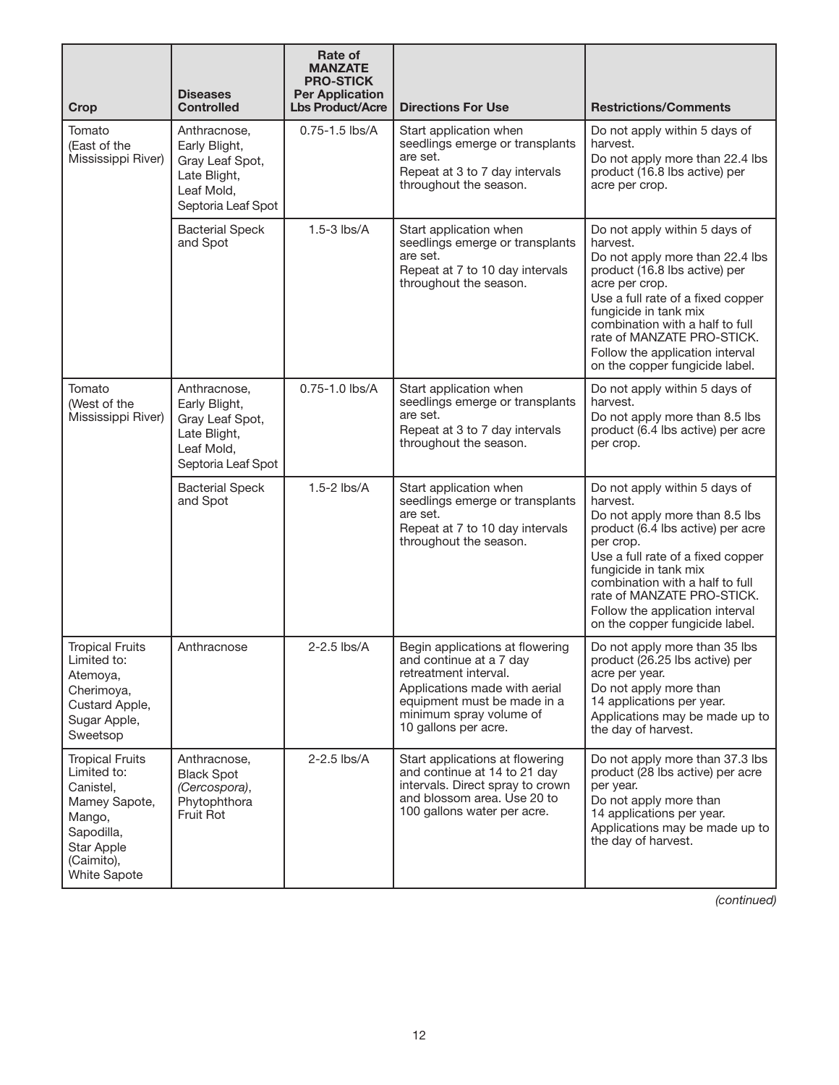| Crop                                                                                                                                           | <b>Diseases</b><br><b>Controlled</b>                                                                 | Rate of<br><b>MANZATE</b><br><b>PRO-STICK</b><br><b>Per Application</b><br><b>Lbs Product/Acre</b> | <b>Directions For Use</b>                                                                                                                                                                              | <b>Restrictions/Comments</b>                                                                                                                                                                                                                                                                                                        |
|------------------------------------------------------------------------------------------------------------------------------------------------|------------------------------------------------------------------------------------------------------|----------------------------------------------------------------------------------------------------|--------------------------------------------------------------------------------------------------------------------------------------------------------------------------------------------------------|-------------------------------------------------------------------------------------------------------------------------------------------------------------------------------------------------------------------------------------------------------------------------------------------------------------------------------------|
| Tomato<br>(East of the<br>Mississippi River)                                                                                                   | Anthracnose,<br>Early Blight,<br>Gray Leaf Spot,<br>Late Blight,<br>Leaf Mold,<br>Septoria Leaf Spot | 0.75-1.5 lbs/A                                                                                     | Start application when<br>seedlings emerge or transplants<br>are set.<br>Repeat at 3 to 7 day intervals<br>throughout the season.                                                                      | Do not apply within 5 days of<br>harvest.<br>Do not apply more than 22.4 lbs<br>product (16.8 lbs active) per<br>acre per crop.                                                                                                                                                                                                     |
|                                                                                                                                                | <b>Bacterial Speck</b><br>and Spot                                                                   | $1.5 - 3$ lbs/A                                                                                    | Start application when<br>seedlings emerge or transplants<br>are set.<br>Repeat at 7 to 10 day intervals<br>throughout the season.                                                                     | Do not apply within 5 days of<br>harvest.<br>Do not apply more than 22.4 lbs<br>product (16.8 lbs active) per<br>acre per crop.<br>Use a full rate of a fixed copper<br>fungicide in tank mix<br>combination with a half to full<br>rate of MANZATE PRO-STICK.<br>Follow the application interval<br>on the copper fungicide label. |
| Tomato<br>(West of the<br>Mississippi River)                                                                                                   | Anthracnose,<br>Early Blight,<br>Gray Leaf Spot,<br>Late Blight,<br>Leaf Mold.<br>Septoria Leaf Spot | 0.75-1.0 lbs/A                                                                                     | Start application when<br>seedlings emerge or transplants<br>are set.<br>Repeat at 3 to 7 day intervals<br>throughout the season.                                                                      | Do not apply within 5 days of<br>harvest.<br>Do not apply more than 8.5 lbs<br>product (6.4 lbs active) per acre<br>per crop.                                                                                                                                                                                                       |
|                                                                                                                                                | <b>Bacterial Speck</b><br>and Spot                                                                   | $1.5 - 2$ lbs/A                                                                                    | Start application when<br>seedlings emerge or transplants<br>are set.<br>Repeat at 7 to 10 day intervals<br>throughout the season.                                                                     | Do not apply within 5 days of<br>harvest.<br>Do not apply more than 8.5 lbs<br>product (6.4 lbs active) per acre<br>per crop.<br>Use a full rate of a fixed copper<br>fungicide in tank mix<br>combination with a half to full<br>rate of MANZATE PRO-STICK.<br>Follow the application interval<br>on the copper fungicide label.   |
| <b>Tropical Fruits</b><br>Limited to:<br>Atemoya,<br>Cherimoya,<br>Custard Apple,<br>Sugar Apple,<br>Sweetsop                                  | Anthracnose                                                                                          | 2-2.5 lbs/A                                                                                        | Begin applications at flowering<br>and continue at a 7 day<br>retreatment interval.<br>Applications made with aerial<br>equipment must be made in a<br>minimum spray volume of<br>10 gallons per acre. | Do not apply more than 35 lbs<br>product (26.25 lbs active) per<br>acre per year.<br>Do not apply more than<br>14 applications per year.<br>Applications may be made up to<br>the day of harvest.                                                                                                                                   |
| <b>Tropical Fruits</b><br>Limited to:<br>Canistel,<br>Mamey Sapote,<br>Mango,<br>Sapodilla,<br>Star Apple<br>(Caimito),<br><b>White Sapote</b> | Anthracnose,<br><b>Black Spot</b><br>(Cercospora),<br>Phytophthora<br>Fruit Rot                      | $2-2.5$ lbs/A                                                                                      | Start applications at flowering<br>and continue at 14 to 21 day<br>intervals. Direct spray to crown<br>and blossom area. Use 20 to<br>100 gallons water per acre.                                      | Do not apply more than 37.3 lbs<br>product (28 lbs active) per acre<br>per year.<br>Do not apply more than<br>14 applications per year.<br>Applications may be made up to<br>the day of harvest.                                                                                                                                    |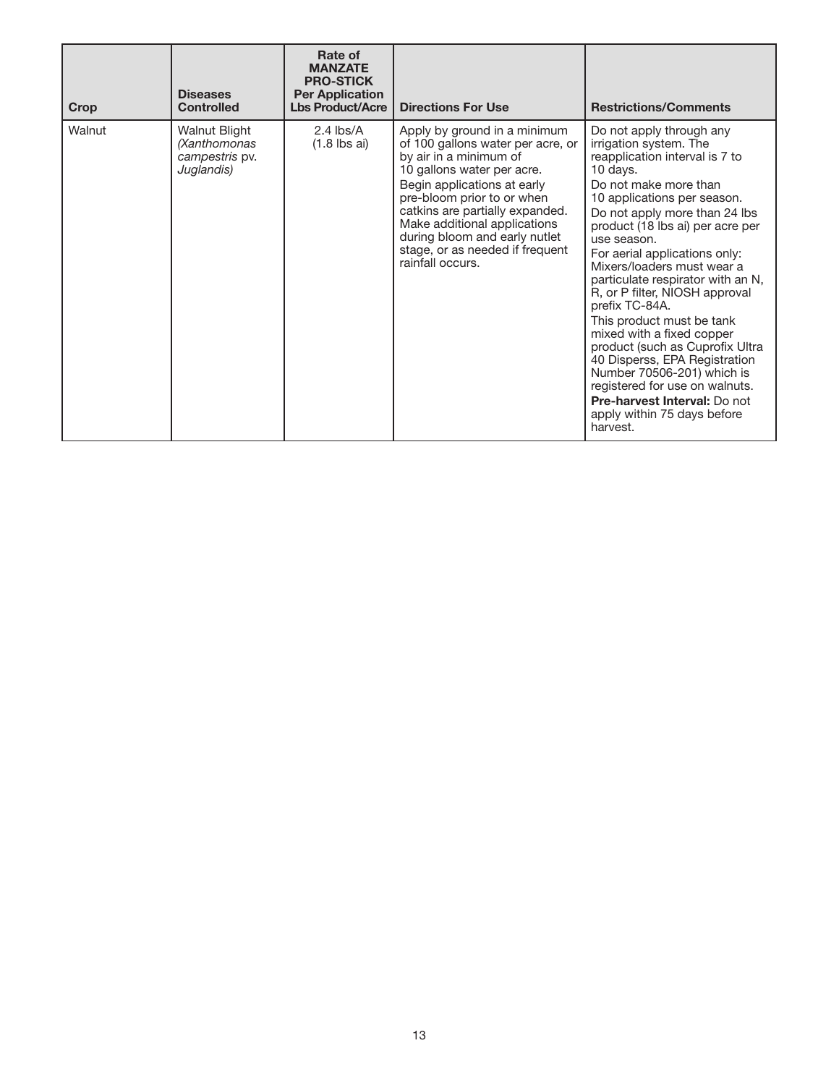| Crop   | <b>Diseases</b><br><b>Controlled</b>                          | Rate of<br><b>MANZATE</b><br><b>PRO-STICK</b><br><b>Per Application</b><br><b>Lbs Product/Acre</b> | <b>Directions For Use</b>                                                                                                                                                                                                                                                                                                                         | <b>Restrictions/Comments</b>                                                                                                                                                                                                                                                                                                                                                                                                                                                                                                                                                                                                                                                  |
|--------|---------------------------------------------------------------|----------------------------------------------------------------------------------------------------|---------------------------------------------------------------------------------------------------------------------------------------------------------------------------------------------------------------------------------------------------------------------------------------------------------------------------------------------------|-------------------------------------------------------------------------------------------------------------------------------------------------------------------------------------------------------------------------------------------------------------------------------------------------------------------------------------------------------------------------------------------------------------------------------------------------------------------------------------------------------------------------------------------------------------------------------------------------------------------------------------------------------------------------------|
| Walnut | Walnut Blight<br>(Xanthomonas<br>campestris pv.<br>Juglandis) | $2.4$ lbs/A<br>$(1.8$ lbs ai)                                                                      | Apply by ground in a minimum<br>of 100 gallons water per acre, or<br>by air in a minimum of<br>10 gallons water per acre.<br>Begin applications at early<br>pre-bloom prior to or when<br>catkins are partially expanded.<br>Make additional applications<br>during bloom and early nutlet<br>stage, or as needed if frequent<br>rainfall occurs. | Do not apply through any<br>irrigation system. The<br>reapplication interval is 7 to<br>10 days.<br>Do not make more than<br>10 applications per season.<br>Do not apply more than 24 lbs<br>product (18 lbs ai) per acre per<br>use season.<br>For aerial applications only:<br>Mixers/loaders must wear a<br>particulate respirator with an N,<br>R, or P filter, NIOSH approval<br>prefix TC-84A.<br>This product must be tank<br>mixed with a fixed copper<br>product (such as Cuprofix Ultra<br>40 Disperss, EPA Registration<br>Number 70506-201) which is<br>registered for use on walnuts.<br>Pre-harvest Interval: Do not<br>apply within 75 days before<br>harvest. |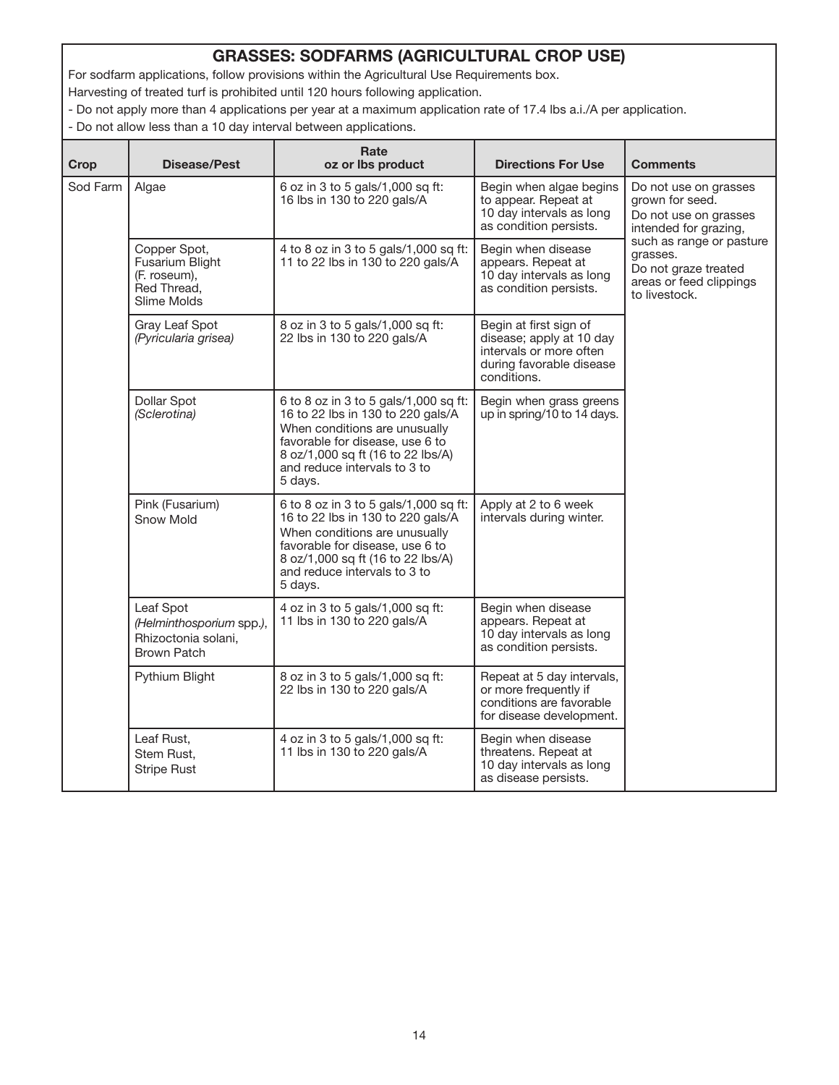# **GRASSES: SODFARMS (AGRICULTURAL CROP USE)**

For sodfarm applications, follow provisions within the Agricultural Use Requirements box.

Harvesting of treated turf is prohibited until 120 hours following application.

- Do not apply more than 4 applications per year at a maximum application rate of 17.4 lbs a.i./A per application.

- Do not allow less than a 10 day interval between applications.

| Crop     | <b>Disease/Pest</b>                                                           | Rate<br>oz or lbs product                                                                                                                                                                                                      | <b>Directions For Use</b>                                                                                                | <b>Comments</b>                                                                                          |
|----------|-------------------------------------------------------------------------------|--------------------------------------------------------------------------------------------------------------------------------------------------------------------------------------------------------------------------------|--------------------------------------------------------------------------------------------------------------------------|----------------------------------------------------------------------------------------------------------|
| Sod Farm | Algae                                                                         | 6 oz in 3 to 5 gals/1,000 sq ft:<br>16 lbs in 130 to 220 gals/A                                                                                                                                                                | Begin when algae begins<br>to appear. Repeat at<br>10 day intervals as long<br>as condition persists.                    | Do not use on grasses<br>grown for seed.<br>Do not use on grasses<br>intended for grazing,               |
|          | Copper Spot,<br>Fusarium Blight<br>(F. roseum),<br>Red Thread.<br>Slime Molds | 4 to 8 oz in 3 to 5 gals/1,000 sq ft:<br>11 to 22 lbs in 130 to 220 gals/A                                                                                                                                                     | Begin when disease<br>appears. Repeat at<br>10 day intervals as long<br>as condition persists.                           | such as range or pasture<br>grasses.<br>Do not graze treated<br>areas or feed clippings<br>to livestock. |
|          | Gray Leaf Spot<br>(Pyricularia grisea)                                        | 8 oz in 3 to 5 gals/1,000 sq ft:<br>22 lbs in 130 to 220 gals/A                                                                                                                                                                | Begin at first sign of<br>disease; apply at 10 day<br>intervals or more often<br>during favorable disease<br>conditions. |                                                                                                          |
|          | Dollar Spot<br>(Sclerotina)                                                   | 6 to 8 oz in 3 to 5 gals/1,000 sq ft:<br>16 to 22 lbs in 130 to 220 gals/A<br>When conditions are unusually<br>favorable for disease, use 6 to<br>8 oz/1,000 sq ft (16 to 22 lbs/A)<br>and reduce intervals to 3 to<br>5 days. | Begin when grass greens<br>up in spring/10 to 14 days.                                                                   |                                                                                                          |
|          | Pink (Fusarium)<br>Snow Mold                                                  | 6 to 8 oz in 3 to 5 gals/1,000 sq ft:<br>16 to 22 lbs in 130 to 220 gals/A<br>When conditions are unusually<br>favorable for disease, use 6 to<br>8 oz/1,000 sq ft (16 to 22 lbs/A)<br>and reduce intervals to 3 to<br>5 days. | Apply at 2 to 6 week<br>intervals during winter.                                                                         |                                                                                                          |
|          | Leaf Spot<br>(Helminthosporium spp.),<br>Rhizoctonia solani,<br>Brown Patch   | 4 oz in 3 to 5 gals/1,000 sq ft:<br>11 lbs in 130 to 220 gals/A                                                                                                                                                                | Begin when disease<br>appears. Repeat at<br>10 day intervals as long<br>as condition persists.                           |                                                                                                          |
|          | Pythium Blight                                                                | 8 oz in 3 to 5 gals/1,000 sq ft:<br>22 lbs in 130 to 220 gals/A                                                                                                                                                                | Repeat at 5 day intervals,<br>or more frequently if<br>conditions are favorable<br>for disease development.              |                                                                                                          |
|          | Leaf Rust,<br>Stem Rust,<br><b>Stripe Rust</b>                                | 4 oz in 3 to 5 gals/1,000 sq ft:<br>11 lbs in 130 to 220 gals/A                                                                                                                                                                | Begin when disease<br>threatens. Repeat at<br>10 day intervals as long<br>as disease persists.                           |                                                                                                          |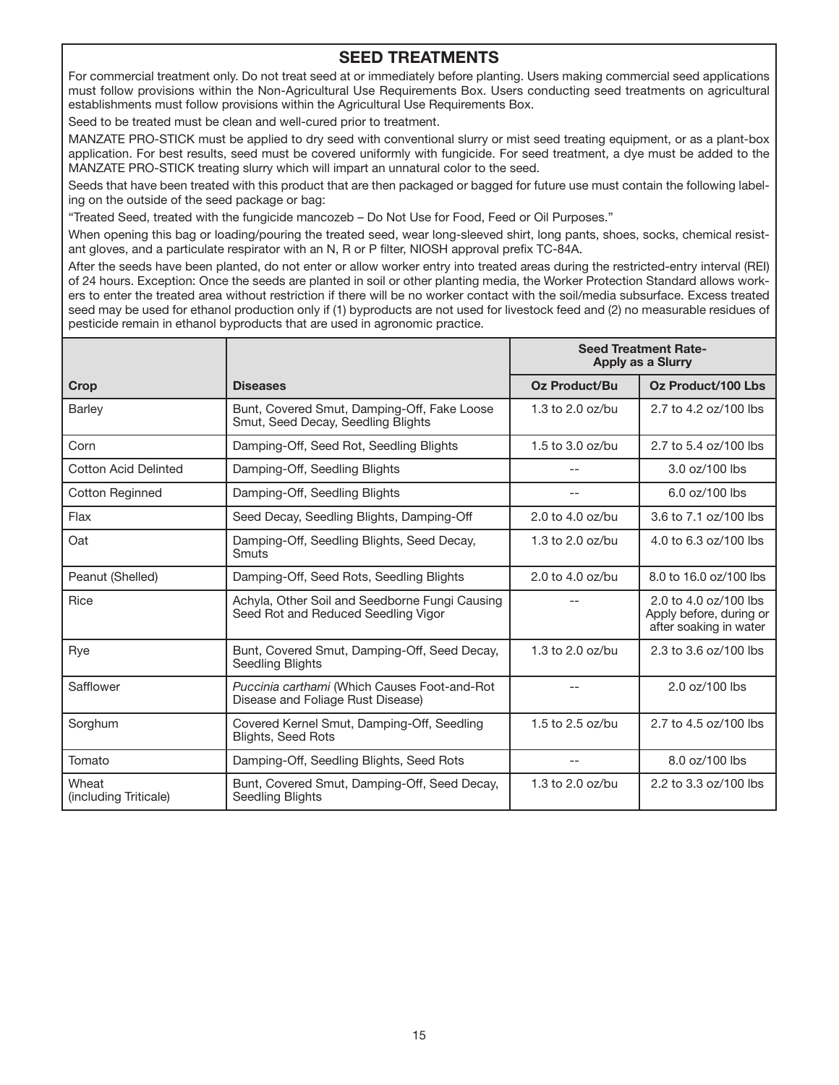# **SEED TREATMENTS**

For commercial treatment only. Do not treat seed at or immediately before planting. Users making commercial seed applications must follow provisions within the Non-Agricultural Use Requirements Box. Users conducting seed treatments on agricultural establishments must follow provisions within the Agricultural Use Requirements Box.

Seed to be treated must be clean and well-cured prior to treatment.

MANZATE PRO-STICK must be applied to dry seed with conventional slurry or mist seed treating equipment, or as a plant-box application. For best results, seed must be covered uniformly with fungicide. For seed treatment, a dye must be added to the MANZATE PRO-STICK treating slurry which will impart an unnatural color to the seed.

Seeds that have been treated with this product that are then packaged or bagged for future use must contain the following labeling on the outside of the seed package or bag:

"Treated Seed, treated with the fungicide mancozeb – Do Not Use for Food, Feed or Oil Purposes."

When opening this bag or loading/pouring the treated seed, wear long-sleeved shirt, long pants, shoes, socks, chemical resistant gloves, and a particulate respirator with an N, R or P filter, NIOSH approval prefix TC-84A.

After the seeds have been planted, do not enter or allow worker entry into treated areas during the restricted-entry interval (REI) of 24 hours. Exception: Once the seeds are planted in soil or other planting media, the Worker Protection Standard allows workers to enter the treated area without restriction if there will be no worker contact with the soil/media subsurface. Excess treated seed may be used for ethanol production only if (1) byproducts are not used for livestock feed and (2) no measurable residues of pesticide remain in ethanol byproducts that are used in agronomic practice.

|                                |                                                                                       | <b>Seed Treatment Rate-</b><br>Apply as a Slurry |                                                                            |
|--------------------------------|---------------------------------------------------------------------------------------|--------------------------------------------------|----------------------------------------------------------------------------|
| Crop                           | <b>Diseases</b>                                                                       | <b>Oz Product/Bu</b>                             | Oz Product/100 Lbs                                                         |
| Barley                         | Bunt, Covered Smut, Damping-Off, Fake Loose<br>Smut, Seed Decay, Seedling Blights     | 1.3 to $2.0$ oz/bu                               | 2.7 to 4.2 oz/100 lbs                                                      |
| Corn                           | Damping-Off, Seed Rot, Seedling Blights                                               | 1.5 to 3.0 oz/bu                                 | 2.7 to 5.4 oz/100 lbs                                                      |
| <b>Cotton Acid Delinted</b>    | Damping-Off, Seedling Blights                                                         |                                                  | 3.0 oz/100 lbs                                                             |
| Cotton Reginned                | Damping-Off, Seedling Blights                                                         | --                                               | $6.0$ $\sigma$ $/100$ lbs                                                  |
| Flax                           | Seed Decay, Seedling Blights, Damping-Off                                             | $2.0$ to $4.0$ oz/bu                             | 3.6 to 7.1 oz/100 lbs                                                      |
| Oat                            | Damping-Off, Seedling Blights, Seed Decay,<br>Smuts                                   | 1.3 to $2.0$ oz/bu                               | 4.0 to 6.3 oz/100 lbs                                                      |
| Peanut (Shelled)               | Damping-Off, Seed Rots, Seedling Blights                                              | $2.0$ to $4.0$ oz/bu                             | 8.0 to 16.0 oz/100 lbs                                                     |
| Rice                           | Achyla, Other Soil and Seedborne Fungi Causing<br>Seed Rot and Reduced Seedling Vigor |                                                  | 2.0 to 4.0 oz/100 lbs<br>Apply before, during or<br>after soaking in water |
| Rye                            | Bunt, Covered Smut, Damping-Off, Seed Decay,<br><b>Seedling Blights</b>               | $1.3$ to $2.0$ oz/bu                             | 2.3 to 3.6 oz/100 lbs                                                      |
| Safflower                      | Puccinia carthami (Which Causes Foot-and-Rot<br>Disease and Foliage Rust Disease)     |                                                  | 2.0 oz/100 lbs                                                             |
| Sorghum                        | Covered Kernel Smut, Damping-Off, Seedling<br><b>Blights, Seed Rots</b>               | 1.5 to 2.5 oz/bu                                 | 2.7 to 4.5 oz/100 lbs                                                      |
| Tomato                         | Damping-Off, Seedling Blights, Seed Rots                                              | --                                               | 8.0 oz/100 lbs                                                             |
| Wheat<br>(including Triticale) | Bunt, Covered Smut, Damping-Off, Seed Decay,<br>Seedling Blights                      | 1.3 to $2.0$ oz/bu                               | 2.2 to 3.3 oz/100 lbs                                                      |